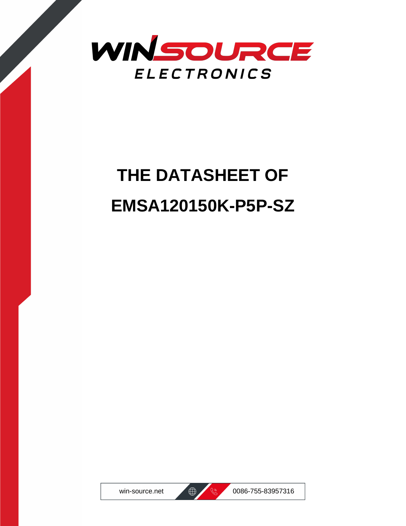

# **THE DATASHEET OF EMSA120150K-P5P-SZ**





win-source.net  $\bigoplus$   $\bigotimes$  0086-755-83957316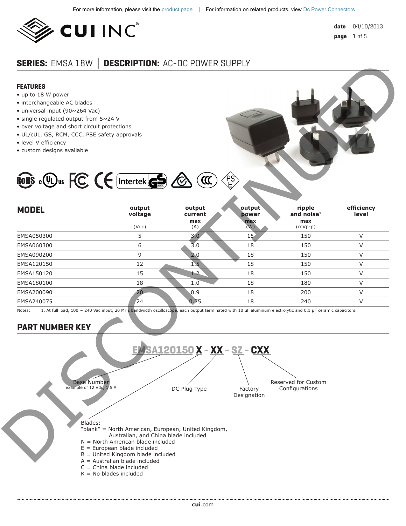

# **SERIES:** EMSA 18W **│ DESCRIPTION:** AC-DC POWER SUPPLY

#### **FEATURES**

- up to 18 W power
- interchangeable AC blades
- universal input (90~264 Vac)
- single regulated output from 5~24 V
- over voltage and short circuit protections
- UL/cUL, GS, RCM, CCC, PSE safety approvals
- level V efficiency
- custom designs available



ROHS C Wus FC (E Intertek GS & CI

| <b>MODEL</b> | output<br>voltage<br>(Vdc) | output<br>current<br>max<br>(A) | output<br>power<br>max<br>(W) | ripple<br>and noise $1$<br>max<br>$(mVp-p)$ | efficiency<br>level |
|--------------|----------------------------|---------------------------------|-------------------------------|---------------------------------------------|---------------------|
| EMSA050300   | 5                          | 3.0                             | 15                            | 150                                         |                     |
| EMSA060300   | 6                          | 3.0                             | 18                            | 150                                         |                     |
| EMSA090200   | 9                          | 2.0                             | 18                            | 150                                         | V                   |
| EMSA120150   | 12                         | $1.5^{\circ}$                   | 18                            | 150                                         | V                   |
| EMSA150120   | 15                         | 1.2                             | 18                            | 150                                         | V                   |
| EMSA180100   | 18                         | 1.0                             | 18                            | 180                                         |                     |
| EMSA200090   | 20                         | 0.9                             | 18                            | 200                                         | $\vee$              |
| EMSA240075   | $\sqrt{24}$                | 0.75                            | 18                            | 240                                         |                     |
|              |                            |                                 |                               |                                             |                     |

Notes: 1. At full load, 100 ~ 240 Vac input, 20 MHz bandwidth oscilloscope, each output terminated with 10 µF aluminum electrolytic and 0.1 µF ceramic capacitors.

# **PART NUMBER KEY**

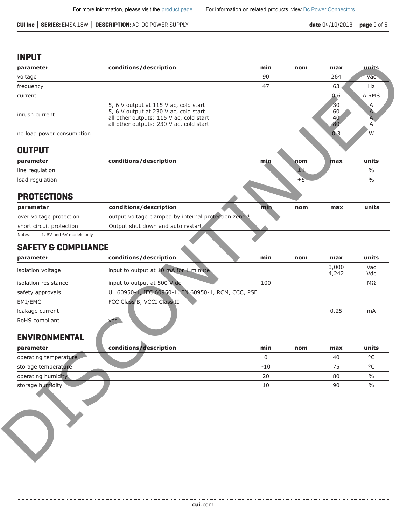**CUI Inc │ SERIES:** EMSA 18W **│ DESCRIPTION:** AC-DC POWER SUPPLY **date** 04/10/2013 **│ page** 2 of 5

#### **INPUT**

| parameter<br>voltage               | conditions/description                                                                                                                                               | min   | nom     | max                  | units             |
|------------------------------------|----------------------------------------------------------------------------------------------------------------------------------------------------------------------|-------|---------|----------------------|-------------------|
|                                    |                                                                                                                                                                      |       |         |                      |                   |
|                                    |                                                                                                                                                                      | 90    |         | 264                  | Vac               |
| frequency                          |                                                                                                                                                                      | 47    |         | 63                   | Hz                |
| current                            |                                                                                                                                                                      |       |         | 0.6                  | A RMS             |
| inrush current                     | 5, 6 V output at 115 V ac, cold start<br>5, 6 V output at 230 V ac, cold start<br>all other outputs: 115 V ac, cold start<br>all other outputs: 230 V ac, cold start |       |         | 30<br>60<br>40<br>80 | A<br>A<br>Α       |
| no load power consumption          |                                                                                                                                                                      |       |         | 0.3                  | W                 |
| <b>OUTPUT</b>                      |                                                                                                                                                                      |       |         |                      |                   |
| parameter                          | conditions/description                                                                                                                                               | min   | nom     | max                  | units             |
| line regulation                    |                                                                                                                                                                      |       | $\pm 1$ |                      | $\frac{0}{0}$     |
| load regulation                    |                                                                                                                                                                      |       | $\pm 5$ |                      | $\frac{0}{0}$     |
| <b>PROTECTIONS</b>                 |                                                                                                                                                                      |       |         |                      |                   |
| parameter                          | conditions/description                                                                                                                                               | min   | nom     | max                  | units             |
| over voltage protection            | output voltage clamped by internal protection zener <sup>1</sup>                                                                                                     |       |         |                      |                   |
| short circuit protection           | Output shut down and auto restart,                                                                                                                                   |       |         |                      |                   |
| 1. 5V and 6V models only<br>Notes: |                                                                                                                                                                      |       |         |                      |                   |
|                                    |                                                                                                                                                                      |       |         |                      |                   |
| <b>SAFETY &amp; COMPLIANCE</b>     |                                                                                                                                                                      |       |         |                      |                   |
| parameter                          | conditions/description                                                                                                                                               | min   | nom     | max                  |                   |
| isolation voltage                  | input to output at 10 mA for 1 minute                                                                                                                                |       |         | 3,000<br>4,242       | Vac<br>Vdc        |
| isolation resistance               | input to output at 500 V dc                                                                                                                                          | 100   |         |                      | ΜΩ                |
| safety approvals                   | UL 60950-1, IEC 60950-1, EN 60950-1, RCM, CCC, PSE                                                                                                                   |       |         |                      |                   |
| EMI/EMC                            | FCC Class B, VCCI Class II                                                                                                                                           |       |         |                      | units             |
| leakage current                    |                                                                                                                                                                      |       |         | 0.25                 | mA                |
| RoHS compliant                     | yes                                                                                                                                                                  |       |         |                      |                   |
| <b>ENVIRONMENTAL</b>               |                                                                                                                                                                      |       |         |                      |                   |
| parameter                          | conditions/description                                                                                                                                               | min   | nom     | max                  | units             |
| operating temperature              |                                                                                                                                                                      | 0     |         | 40                   | $^{\circ}$ C      |
| storage temperature                |                                                                                                                                                                      | $-10$ |         | 75                   | $^{\circ}{\rm C}$ |
| operating humidity.                |                                                                                                                                                                      | 20    |         | 80                   | $\frac{0}{0}$     |

### **SAFETY & COMPLIANCE**

| parameter            | conditions/description                             | min | nom | max            | units      |
|----------------------|----------------------------------------------------|-----|-----|----------------|------------|
| isolation voltage    | input to output at 10 mA for 1 minute.             |     |     | 3,000<br>4,242 | Vac<br>Vdc |
| isolation resistance | input to output at 500 V dc                        | 100 |     |                | MΩ         |
| safety approvals     | UL 60950-1, IEC 60950-1, EN 60950-1, RCM, CCC, PSE |     |     |                |            |
| EMI/EMC              | FCC Class B, VCCI Class II                         |     |     |                |            |
| leakage current      |                                                    |     |     | 0.25           | mA         |
| RoHS compliant       | ves N                                              |     |     |                |            |
|                      |                                                    |     |     |                |            |

## **ENVIRONMENTAL**

| parameter             | conditions/description | min   | nom<br>max | units   |
|-----------------------|------------------------|-------|------------|---------|
| operating temperature |                        |       | 40         | $\circ$ |
| storage temperature   |                        | $-10$ |            | $\circ$ |
| operating humidity    |                        | 20    | 80         | $\%$    |
| storage humidity      |                        | 10    | 90         | $\%$    |
|                       |                        |       |            |         |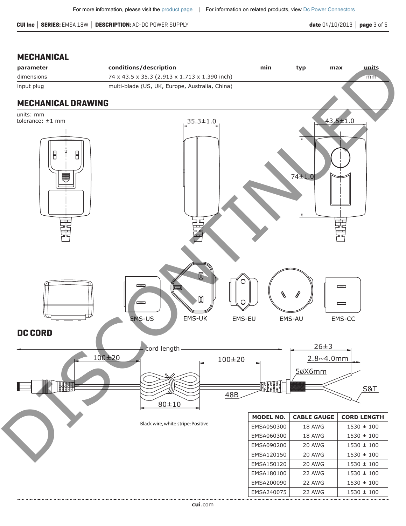**CUI Inc │ SERIES:** EMSA 18W **│ DESCRIPTION:** AC-DC POWER SUPPLY **date** 04/10/2013 **│ page** 3 of 5

# **MECHANICAL**

| parameter                                         | conditions/description                         | min              | typ                | units<br>max                   |
|---------------------------------------------------|------------------------------------------------|------------------|--------------------|--------------------------------|
| dimensions                                        | 74 x 43.5 x 35.3 (2.913 x 1.713 x 1.390 inch)  |                  |                    | mm                             |
| input plug                                        | multi-blade (US, UK, Europe, Australia, China) |                  |                    |                                |
| <b>MECHANICAL DRAWING</b>                         |                                                |                  |                    |                                |
| units: mm<br>tolerance: ±1 mm<br>Ē<br>E<br>畫<br>噩 | $35.3 \pm 1.0$                                 |                  | 74±1.0             | $43.5 \pm 1.0$<br>بيات<br>پيات |
| <b>DC CORD</b>                                    | 囧<br>顶<br>EMS-US<br>EMS-UK                     | EMS-EU           | EMS-AU             | EMS-CC                         |
|                                                   |                                                |                  | $26 \pm 3$         |                                |
|                                                   | cord length<br>100±20                          |                  | $2.8 - 4.0$ mm     |                                |
|                                                   |                                                | $100+20$         |                    |                                |
|                                                   |                                                |                  | 5øX6mm             |                                |
| HE                                                |                                                | <b>Formal</b>    |                    | <u>S&amp;T</u>                 |
|                                                   |                                                | <u>48B</u>       |                    |                                |
|                                                   | $80 + 10$                                      |                  |                    |                                |
|                                                   |                                                | <b>MODEL NO.</b> | <b>CABLE GAUGE</b> | <b>CORD LENGTH</b>             |
|                                                   | Black wire, white stripe: Positive             | EMSA050300       | 18 AWG             | $1530 \pm 100$                 |
|                                                   |                                                | EMSA060300       | 18 AWG             | $1530 \pm 100$                 |
|                                                   |                                                | EMSA090200       | 20 AWG             | $1530 \pm 100$                 |
|                                                   |                                                | EMSA120150       | 20 AWG             | $1530 \pm 100$                 |
|                                                   |                                                | EMSA150120       | 20 AWG             | $1530 \pm 100$                 |
|                                                   |                                                | EMSA180100       | 22 AWG             | $1530 \pm 100$                 |
|                                                   |                                                | EMSA200090       | 22 AWG             | $1530 \pm 100$                 |
|                                                   |                                                | EMSA240075       | 22 AWG             | $1530 \pm 100$                 |
|                                                   |                                                |                  |                    |                                |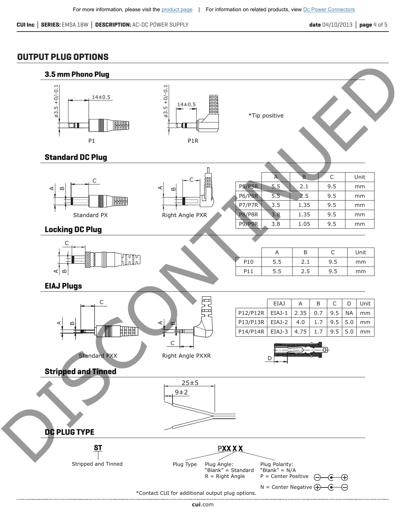#### **OUTPUT PLUG OPTIONS**